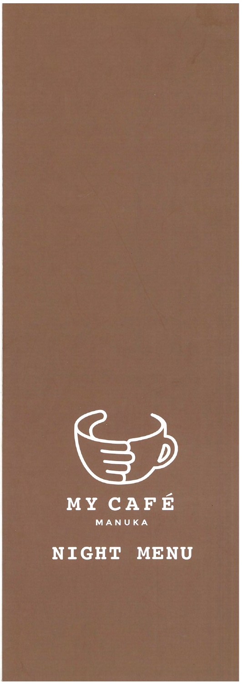

## MANUKA

# NIGHT MENU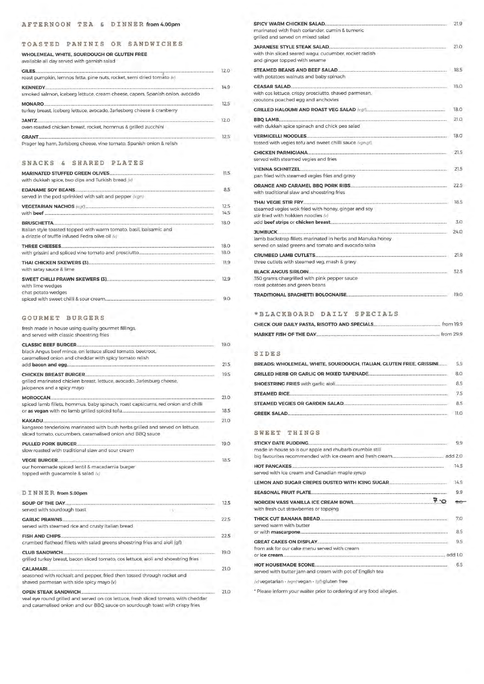#### **TOASTED PANINIS OR . SANDWICHES**

#### **WHOLEMEAL, WHITE, SOURDOUGH OR GLUTEN FREE**

available all day served with garnish salad

#### **SNACKS & SHARED PLATES**

#### **GOURMET BURGERS**

| roast pumpkin, lemnos fetta, pine nuts, rocket, semi dried tomato (v)                   | 12.0 |
|-----------------------------------------------------------------------------------------|------|
|                                                                                         | 149  |
| smoked salmon, iceberg lettuce, cream cheese, capers, Spanish onion, avocado            |      |
| <b>MONARO</b><br>turkey breast, iceberg lettuce, avocado, Jarlesberg cheese & cranberry | 12.5 |
| JANTZ<br>oven roasted chicken breast, rocket, hommus & grilled zucchini                 | 12.0 |
| <b>GRANT</b>                                                                            | 12.5 |
| Prager leg ham, Jarlsberg cheese, vine tomato, Spanish onion & relish                   |      |

| with dukkah spice, two dips and Turkish bread (v)                                                                                    | 11.5         |
|--------------------------------------------------------------------------------------------------------------------------------------|--------------|
| served in the pod sprinkled with salt and pepper (v.gn)                                                                              | 8.5          |
|                                                                                                                                      | 12.5<br>14.5 |
| BRUSCHETTA<br>Italian style toasted topped with warm tomato, basil, balsamic and<br>a drizzle of truffle infused Fedra olive oil (v) | 18.0         |
|                                                                                                                                      | 18.0<br>18.0 |
| with satay sauce & lime                                                                                                              | 11.9         |
| with lime wedges<br>chat potato wedges                                                                                               | 12.9<br>9.0  |
|                                                                                                                                      |              |

| fresh made in house using quality gourmet fillings,<br>and served with classic shoestring fries      |      |
|------------------------------------------------------------------------------------------------------|------|
|                                                                                                      | 19.0 |
| black Angus beef mince, on lettuce sliced tomato, beetroot,                                          |      |
| caramelised onion and cheddar with spicy tomato relish                                               |      |
|                                                                                                      | 21.5 |
| <b>CHICKEN BREAST BURGER. CHICK CONTROLS AND RESIDENCE ASSESSED.</b>                                 | 19.5 |
| grilled marinated chicken breast, lettuce, avocado, Jarlesburg cheese,<br>jalopenos and a spicy mayo |      |
|                                                                                                      | 21.0 |
| spiced lamb fillets, hommus, baby spinach, roast capsicums, red onion and chilli                     |      |
|                                                                                                      | 18.5 |
|                                                                                                      | 21.0 |
| kangaroo tenderloins marinated with bush herbs grilled and served on lettuce,                        |      |
| sliced tomato, cucumbers, caramalised onion and BBQ sauce                                            |      |
|                                                                                                      | 19.0 |
| slow roasted with traditional slaw and sour cream                                                    |      |
|                                                                                                      | 18.5 |
| our homemade spiced lentil & macadamia burger                                                        |      |
| topped with quacamole & salad (v)                                                                    |      |
|                                                                                                      |      |

**DINNER from s.oopm** 

| SOUP OF THE DAY             |  |
|-----------------------------|--|
| served with sourdough toast |  |

| <b>GARLIC PRAWNS</b><br>served with steamed rice and crusty Italian bread                                                                                                                          | 22.5 |
|----------------------------------------------------------------------------------------------------------------------------------------------------------------------------------------------------|------|
| <b>FISH AND CHIPS</b><br>crumbed flathead fillets with salad greens shoestring fries and aioli (gf)                                                                                                | 22.5 |
| <b>CLUB SANDWICH</b><br>grilled turkey breast, bacon sliced tomato, cos lettuce, aioli and shoestring fries                                                                                        | 19.0 |
| <b>CALAMARI</b><br>seasoned with rocksalt and pepper, fried then tossed through rocket and<br>shaved parmesan with side spicy mayo (v)                                                             | 21.0 |
| <b>OPEN STEAK SANDWICH.</b><br>veal eye round grilled and served on cos lettuce, fresh sliced tomato, with cheddar<br>and caramelised onion and our BBQ sauce on sourdough toast with crispy fries | 21.0 |

| marinated with fresh coriander, cumin & tumeric<br>grilled and served on mixed salad                              | 21.9 |
|-------------------------------------------------------------------------------------------------------------------|------|
| with thin sliced seared wagu, cucumber, rocket radish<br>and ginger topped with sesame                            | 21.0 |
| with potatoes walnuts and baby spinach                                                                            | 18.5 |
| with cos lettuce, crispy prosciutto, shaved parmesan.<br>croutons poached egg and anchovies                       | 18.0 |
|                                                                                                                   | 18.0 |
| BBQ LAMB<br>with dukkah spice spinach and chick pea salad                                                         | 21.0 |
| tossed with vegies tofu and sweet chilli sauce (vgn.gf).                                                          | 18.0 |
| served with steamed vegies and fries                                                                              | 21.5 |
|                                                                                                                   | 21.5 |
| pan fried with steamed vegies fries and gravy                                                                     |      |
| with traditional slaw and shoestring fries                                                                        | 22.5 |
|                                                                                                                   | 18.5 |
| steamed vegies wok fried with honey, ginger and soy<br>stir fried with hokkien noodles (v)                        |      |
|                                                                                                                   | 3.0  |
|                                                                                                                   | 24.0 |
| lamb backstrap fillets marinated in herbs and Manuka honey<br>served on salad greens and tomato and avocado salsa |      |
|                                                                                                                   | 21.9 |
| three cutlets with steamed veg, mash & gravy                                                                      |      |
|                                                                                                                   | 32.5 |
| 350 grams chargrilled with pink pepper sauce<br>roast potatoes and green beans                                    |      |
| TRADITIONAL SPACHETTI BOLOGNAISE                                                                                  | 19.0 |
|                                                                                                                   |      |

#### **\*BLACKBOARD DAILY SPECIALS**

#### **SIDES**

|                                | from 19.9   |  |
|--------------------------------|-------------|--|
| <b>MARKET FISH OF THE DAY.</b> | from $29.9$ |  |

#### **SWEET THINGS**

| BREADS: WHOLEMEAL, WHITE, SOURDOUGH, ITALIAN, GLUTEN FREE, GRISSINI | 55   |
|---------------------------------------------------------------------|------|
| <b>GRILLED HERB OR GARLIC OR MIXED TAPENADE</b>                     | 8.0  |
| SHOESTRING FRIES with garlic aioli                                  | 8.5  |
| <b>STEAMED RICE</b>                                                 | 75   |
| STEAMED VEGIES OR GARDEN SALAD.                                     | 8.5  |
| <b>GREEK SALAD.</b>                                                 | 11 O |

| <b>STICKY DATE PUDDING</b><br>made in-house so is our apple and rhubarb crumble still | 9.9     |
|---------------------------------------------------------------------------------------|---------|
|                                                                                       | add 2.0 |
| <b>HOT PANCAKES</b><br>served with ice cream and Canadian maple syrup                 | 14.5    |
|                                                                                       | 14.5    |
| <b>SEASONAL FRUIT PLATE</b>                                                           | 9.9     |
| NORGEN VASS VANILLA ICE CREAM BOWL<br>with fresh cut strawberries or topping          |         |

| THICK CUT BANANA BREAD<br>served warm with butter                   |     |
|---------------------------------------------------------------------|-----|
| or with <b>mascarpone</b>                                           | 8.5 |
| <b>GREAT CAKES ON DISPLAY.</b>                                      | 9.5 |
| from ask for our cake menu served with cream                        |     |
| or ice cream                                                        |     |
| HOT HOUSEMADE SCONE                                                 | 65  |
| served with butter jam and cream with pot of English tea            |     |
| (v) vegetarian · (vgn) vegan · (gf) gluten free                     |     |
| * Please inform your waiter prior to ordering of any food allegies. |     |